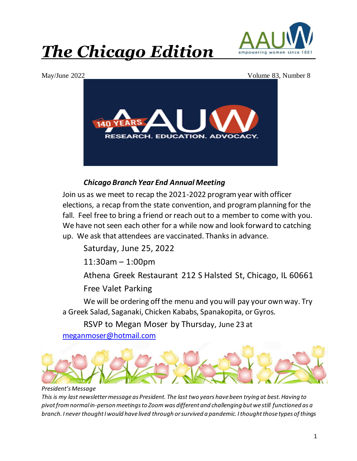



May/June 2022 Volume 83, Number 8



# *Chicago Branch Year End Annual Meeting*

Join us as we meet to recap the 2021-2022 program year with officer elections, a recap from the state convention, and program planning for the fall. Feel free to bring a friend or reach out to a member to come with you. We have not seen each other for a while now and look forward to catching up. We ask that attendees are vaccinated. Thanks in advance.

Saturday, June 25, 2022

11:30am – 1:00pm

Athena Greek Restaurant 212 S Halsted St, Chicago, IL 60661

Free Valet Parking

We will be ordering off the menu and you will pay your own way. Try a Greek Salad, Saganaki, Chicken Kababs, Spanakopita, or Gyros.

RSVP to Megan Moser by Thursday, June 23 at

meganmoser@hotmail.com



# *President's Message*

*This is my last newsletter message as President. The last two years have been trying at best. Having to pivot from normal in-person meetings to Zoom was different and challenging but we still functioned as a branch. I never thought I would have lived through or survived a pandemic. I thought those types of things*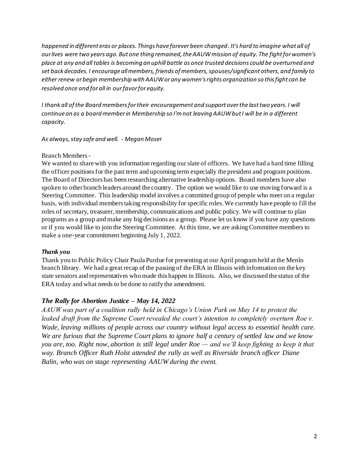*happened in different eras or places. Things have forever been changed. It's hard to imagine what all of our lives were two years ago. But one thing remained, the AAUW mission of equity. The fight for women's place at any and all tables is becoming an uphill battle as once trusted decisions could be overturned and set back decades. I encourage all members, friends of members, spouses/significant others, and family to either renew or begin membership with AAUW or any women's rights organization so this fight can be resolved once and for all in our favor for equity.* 

*I thank all of the Board members for their encouragement and support over the last two years. I will continue on as a board member in Membership so I'm not leaving AAUW but I will be in a different capacity.* 

### *As always, stay safe and well. - Megan Moser*

## Branch Members -

We wanted to share with you information regarding our slate of officers. We have had a hard time filling the officer positions for the past term and upcoming term especially the president and program positions. The Board of Directors has been researching alternative leadership options. Board members have also spoken to other branch leaders around the country. The option we would like to use moving forward is a Steering Committee. This leadership model involves a committed group of people who meet on a regular basis, with individual members taking responsibility for specific roles. We currently have people to fill the roles of secretary, treasurer, membership, communications and public policy. We will continue to plan programs as a group and make any big decisions as a group. Please let us know if you have any questions or if you would like to join the Steering Committee. At this time, we are asking Committee members to make a one-year commitment beginning July 1, 2022.

# *Thank you*

Thank you to Public Policy Chair Paula Purdue for presenting at our April program held at the Menlo branch library. We had a great recap of the passing of the ERA in Illinois with information on the key state senators and representatives who made this happen in Illinois. Also, we discussed the status of the ERA today and what needs to be done to ratify the amendment.

# *The Rally for Abortion Justice – May 14, 2022*

*AAUW was part of a coalition rally held in Chicago's Union Park on May 14 to protest the*  leaked draft from the Supreme Court revealed the court's intention to completely overturn Roe v. *Wade, leaving millions of people across our country without legal access to essential health care. We are furious that the Supreme Court plans to ignore half a century of settled law and we know you are, too. Right now, abortion is still legal under Roe — and we'll keep fighting to keep it that way. Branch Officer Ruth Holst attended the rally as well as Riverside branch officer Diane Balin, who was on stage representing AAUW during the event.*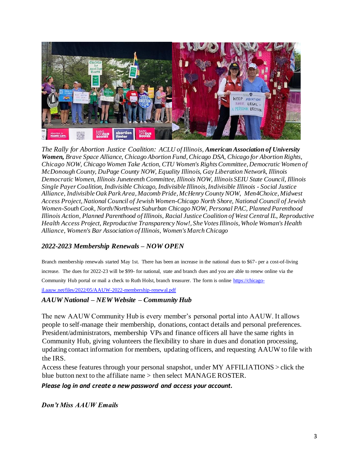

*The Rally for Abortion Justice Coalition: ACLU of Illinois, American Association of University Women, Brave Space Alliance, Chicago Abortion Fund, Chicago DSA, Chicago for Abortion Rights, Chicago NOW, Chicago Women Take Action, CTU Women's Rights Committee, Democratic Women of McDonough County, DuPage County NOW, Equality Illinois, Gay Liberation Network, Illinois Democratic Women, Illinois Juneteenth Committee, Illinois NOW, Illinois SEIU State Council, Illinois Single Payer Coalition, Indivisible Chicago, Indivisible Illinois, Indivisible Illinois - Social Justice Alliance, Indivisible Oak Park Area, Macomb Pride, McHenry County NOW, Men4Choice, Midwest Access Project, National Council of Jewish Women-Chicago North Shore, National Council of Jewish Women-South Cook, North/Northwest Suburban Chicago NOW, Personal PAC, Planned Parenthood Illinois Action, Planned Parenthood of Illinois, Racial Justice Coalition of West Central IL, Reproductive Health Access Project, Reproductive Transparency Now!, She Votes Illinois, Whole Woman's Health Alliance, Women's Bar Association of Illinois, Women's March Chicago*

# *2022-2023 Membership Renewals – NOW OPEN*

Branch membership renewals started May 1st. There has been an increase in the national dues to \$67- per a cost-of-living increase. The dues for 2022-23 will be \$99- for national, state and branch dues and you are able to renew online via the Community Hub portal or mail a check to Ruth Holst, branch treasurer. The form is online https://chicago-

il.aauw.net/files/2022/05/AAUW-2022-membership-renewal.pdf

# *AAUW National – NEW Website – Community Hub*

The new AAUW Community Hub is every member's personal portal into AAUW. It allows people to self-manage their membership, donations, contact details and personal preferences. President/administrators, membership VPs and finance officers all have the same rights in Community Hub, giving volunteers the flexibility to share in dues and donation processing, updating contact information for members, updating officers, and requesting AAUW to file with the IRS.

Access these features through your personal snapshot, under MY AFFILIATIONS > click the blue button next to the affiliate name > then select MANAGE ROSTER.

### *Please log in and create a new password and access your account.*

*Don't Miss AAUW Emails*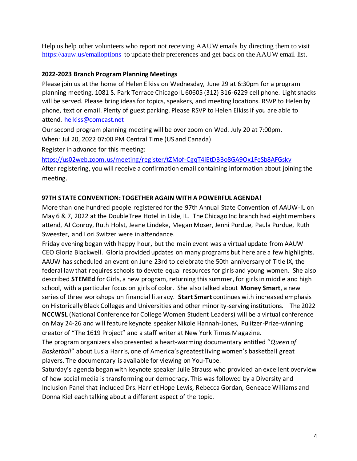Help us help other volunteers who report not receiving AAUW emails by directing them to visit https://aauw.us/emailoptions to update their preferences and get back on the AAUW email list.

# **2022-2023 Branch Program Planning Meetings**

Please join us at the home of Helen Elkiss on Wednesday, June 29 at 6:30pm for a program planning meeting. 1081 S. Park Terrace Chicago IL 60605 (312) 316-6229 cell phone. Light snacks will be served. Please bring ideas for topics, speakers, and meeting locations. RSVP to Helen by phone, text or email. Plenty of guest parking. Please RSVP to Helen Elkiss if you are able to attend. helkiss@comcast.net

Our second program planning meeting will be over zoom on Wed. July 20 at 7:00pm. When: Jul 20, 2022 07:00 PM Central Time (US and Canada)

Register in advance for this meeting:

https://us02web.zoom.us/meeting/register/tZMof-CgqT4iEtDBBo8GA9Ox1FeSb8AFGskv After registering, you will receive a confirmation email containing information about joining the meeting.

# **97TH STATE CONVENTION: TOGETHER AGAIN WITH A POWERFUL AGENDA!**

More than one hundred people registered for the 97th Annual State Convention of AAUW-IL on May 6 & 7, 2022 at the DoubleTree Hotel in Lisle, IL. The Chicago Inc branch had eight members attend, AJ Conroy, Ruth Holst, Jeane Lindeke, Megan Moser, Jenni Purdue, Paula Purdue, Ruth Sweester, and Lori Switzer were in attendance.

Friday evening began with happy hour, but the main event was a virtual update from AAUW CEO Gloria Blackwell. Gloria provided updates on many programs but here are a few highlights. AAUW has scheduled an event on June 23rd to celebrate the 50th anniversary of Title IX, the federal law that requires schools to devote equal resources for girls and young women. She also described **STEMEd** for Girls, a new program, returning this summer, for girls in middle and high school, with a particular focus on girls of color. She also talked about **Money Smart**, a new series of three workshops on financial literacy. **Start Smart** continues with increased emphasis on Historically Black Colleges and Universities and other minority-serving institutions. The 2022 **NCCWSL** (National Conference for College Women Student Leaders) will be a virtual conference on May 24-26 and will feature keynote speaker Nikole Hannah-Jones, Pulitzer-Prize-winning creator of "The 1619 Project" and a staff writer at New York Times Magazine.

The program organizers also presented a heart-warming documentary entitled "*Queen of Basketball*" about Lusia Harris, one of America's greatest living women's basketball great players. The documentary is available for viewing on You-Tube.

Saturday's agenda began with keynote speaker Julie Strauss who provided an excellent overview of how social media is transforming our democracy. This was followed by a Diversity and Inclusion Panel that included Drs. Harriet Hope Lewis, Rebecca Gordan, Geneace Williams and Donna Kiel each talking about a different aspect of the topic.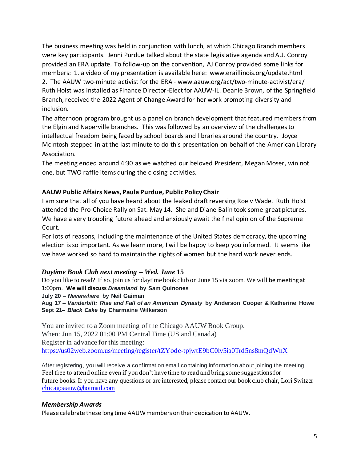The business meeting was held in conjunction with lunch, at which Chicago Branch members were key participants. Jenni Purdue talked about the state legislative agenda and A.J. Conroy provided an ERA update. To follow-up on the convention, AJ Conroy provided some links for members: 1. a video of my presentation is available here: www.eraillinois.org/update.html 2. The AAUW two-minute activist for the ERA - www.aauw.org/act/two-minute-activist/era/ Ruth Holst was installed as Finance Director-Elect for AAUW-IL. Deanie Brown, of the Springfield Branch, received the 2022 Agent of Change Award for her work promoting diversity and inclusion.

The afternoon program brought us a panel on branch development that featured members from the Elgin and Naperville branches. This was followed by an overview of the challenges to intellectual freedom being faced by school boards and libraries around the country. Joyce McIntosh stepped in at the last minute to do this presentation on behalf of the American Library Association.

The meeting ended around 4:30 as we watched our beloved President, Megan Moser, win not one, but TWO raffle items during the closing activities.

# **AAUW Public Affairs News, Paula Purdue, Public Policy Chair**

I am sure that all of you have heard about the leaked draft reversing Roe v Wade. Ruth Holst attended the Pro-Choice Rally on Sat. May 14. She and Diane Balin took some great pictures. We have a very troubling future ahead and anxiously await the final opinion of the Supreme Court.

For lots of reasons, including the maintenance of the United States democracy, the upcoming election is so important. As we learn more, I will be happy to keep you informed. It seems like we have worked so hard to maintain the rights of women but the hard work never ends.

### *Daytime Book Club next meeting – Wed. June* **15**

Do you like to read? If so, join us for daytime book club on June 15 via zoom. We will be meeting at 1:00pm. **We will discuss** *Dreamland* **by Sam Quinones**

**July 20 –** *Neverwhere* **by Neil Gaiman**

**Aug 17 –** *Vanderbilt: Rise and Fall of an American Dynasty* **by Anderson Cooper & Katherine Howe Sept 21–** *Black Cake* **by Charmaine Wilkerson**

You are invited to a Zoom meeting of the Chicago AAUW Book Group. When: Jun 15, 2022 01:00 PM Central Time (US and Canada) Register in advance for this meeting: https://us02web.zoom.us/meeting/register/tZYode-tpjwtE9bC0lv5ia0Trd5ns8mQdWnX

After registering, you will receive a confirmation email containing information about joining the meeting Feel free to attend online even if you don't have time to read and bring some suggestions for future books. If you have any questions or are interested, please contact our book club chair, Lori Switzer chicagoaauw@hotmail.com

# *Membership Awards*

Please celebrate these long time AAUW members on their dedication to AAUW.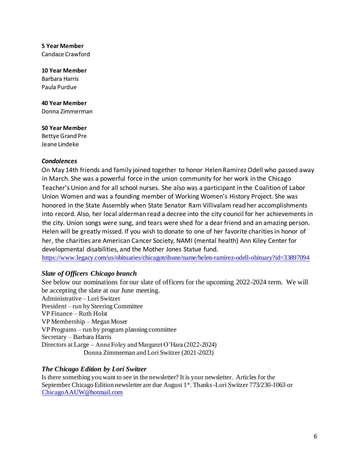**5 Year Member** Candace Crawford

**10 Year Member** Barbara Harris Paula Purdue

**40 Year Member** Donna Zimmerman

**50 Year Member**  Bettye Grand Pre Jeane Lindeke

### *Condolences*

On May 14th friends and family joined together to honor Helen Ramirez Odell who passed away in March. She was a powerful force in the union community for her work in the Chicago Teacher's Union and for all school nurses. She also was a participant in the Coalition of Labor Union Women and was a founding member of Working Women's History Project. She was honored in the State Assembly when State Senator Ram Villivalam read her accomplishments into record. Also, her local alderman read a decree into the city council for her achievements in the city. Union songs were sung, and tears were shed for a dear friend and an amazing person. Helen will be greatly missed. If you wish to donate to one of her favorite charities in honor of her, the charities are American Cancer Society, NAMI (mental health) Ann Kiley Center for developmental disabilities, and the Mother Jones Statue fund.

https://www.legacy.com/us/obituaries/chicagotribune/name/helen-ramirez-odell-obituary?id=33897094

# *Slate of Officers Chicago branch*

See below our nominations for our slate of officers for the upcoming 2022-2024 term. We will be accepting the slate at our June meeting. Administrative – Lori Switzer President – run by Steering Committee VP Finance – Ruth Holst VP Membership – Megan Moser VP Programs – run by program planning committee Secretary – Barbara Harris Directors at Large – Anne Foley and Margaret O'Hara (2022-2024) Donna Zimmerman and Lori Switzer (2021-2023)

# *The Chicago Edition by Lori Switzer*

Is there something you want to see in the newsletter? It is your newsletter. Articles for the September Chicago Edition newsletter are due August 1<sup>st</sup>. Thanks -Lori Switzer 773/230-1063 or ChicagoAAUW@hotmail.com